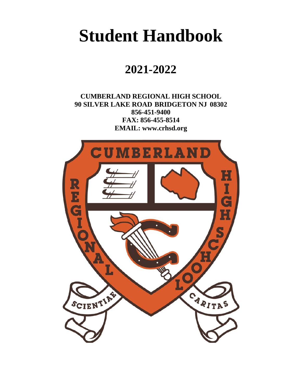# **Student Handbook**

# **2021-2022**

**CUMBERLAND REGIONAL HIGH SCHOOL 90 SILVER LAKE ROAD BRIDGETON NJ 08302 856-451-9400 FAX: 856-455-8514 EMAIL: [www.crhsd.org](http://www.crhsd.org/)**

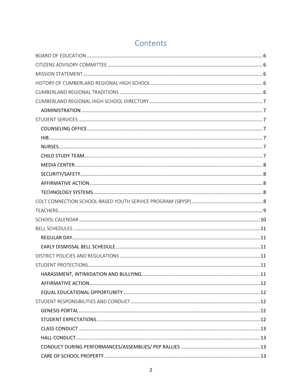# Contents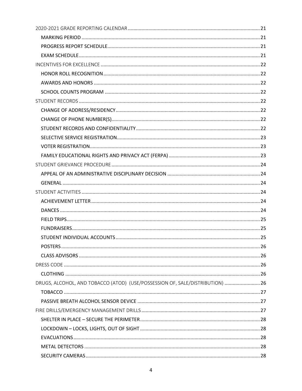| DRUGS, ALCOHOL, AND TOBACCO (ATOD) (USE/POSSESSION OF, SALE/DISTRIBUTION)  26 |  |
|-------------------------------------------------------------------------------|--|
|                                                                               |  |
|                                                                               |  |
|                                                                               |  |
|                                                                               |  |
|                                                                               |  |
|                                                                               |  |
|                                                                               |  |
|                                                                               |  |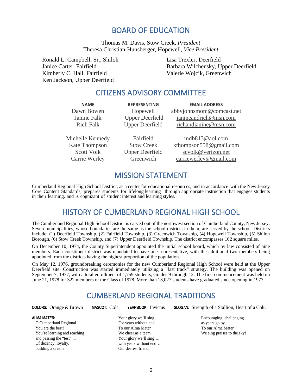## BOARD OF EDUCATION

Thomas M. Davis, Stow Creek, *President* Theresa Christian-Hunsberger, Hopewell, *Vice President*

<span id="page-5-1"></span><span id="page-5-0"></span>Ronald L. Campbell, Sr., Shiloh Janice Carter, Fairfield Kimberly C. Hall, Fairfield Ken Jackson, Upper Deerfield

Lisa Trexler, Deerfield Barbara Wilchensky, Upper Deerfield Valerie Wojcik, Greenwich

### CITIZENS ADVISORY COMMITTEE

**NAME REPRESENTING EMAIL ADDRESS**

Dawn Bowen Hopewell abbyjohnsmom@comcast.net Janine Falk Upper Deerfield janineandrich@msn.com Rich Falk Upper Deerfield richandjanine@msn.com

Michelle Kennedy Fairfield mdb813@aol.com Kate Thompson Stow Creek kthompson558@gmail.com Scott Volk Upper Deerfield [scvolk@verizon.net](mailto:scvolk@verizon.net) Carrie Werley Greenwich carriewerley@gmail.com

### MISSION STATEMENT

<span id="page-5-3"></span><span id="page-5-2"></span>Cumberland Regional High School District, as a center for educational resources, and in accordance with the New Jersey Core Content Standards, prepares students for lifelong learning through appropriate instruction that engages students in their learning, and is cognizant of student interest and learning styles.

# HISTORY OF CUMBERLAND REGIONAL HIGH SCHOOL

The Cumberland Regional High School District is carved out of the northwest section of Cumberland County, New Jersey. Seven municipalities, whose boundaries are the same as the school districts in them, are served by the school. Districts include: (1) Deerfield Township, (2) Fairfield Township, (3) Greenwich Township, (4) Hopewell Township, (5) Shiloh Borough, (6) Stow Creek Township, and (7) Upper Deerfield Township. The district encompasses 162 square miles.

On December 10, 1974, the County Superintendent appointed the initial school board, which by law consisted of nine members. Each constituent district was mandated to have one representative, with the additional two members being appointed from the districts having the highest proportion of the population.

<span id="page-5-4"></span>On May 12, 1976, groundbreaking ceremonies for the new Cumberland Regional High School were held at the Upper Deerfield site. Construction was started immediately utilizing a "fast track" strategy. The building was opened on September 7, 1977, with a total enrollment of 1,759 students, Grades 9 through 12. The first commencement was held on June 21, 1978 for 322 members of the Class of 1978. More than 13,027 students have graduated since opening in 1977.

### CUMBERLAND REGIONAL TRADITIONS

**ALMA MATER:**

O Cumberland Regional You are the best! You're learning and reaching and passing the "test" ... Of decency, loyalty, building a dream

Your glory we'll sing... For years without end... To our Alma Mater We cheer as a team Your glory we'll sing.... with years without end…. Our dearest friend,

**COLORS:** Orange & Brown **MASCOT:** Colt **YEARBOOK:** Invictus **SLOGAN:** Strength of a Stallion, Heart of a Colt.

Encouraging, challenging as years go by To our Alma Mater We sing praises to the sky!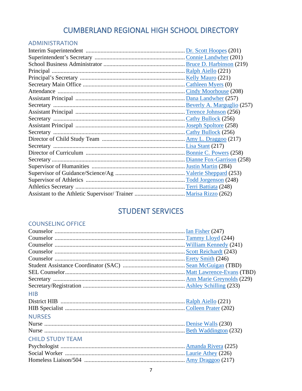# CUMBERLAND REGIONAL HIGH SCHOOL DIRECTORY

### <span id="page-6-1"></span><span id="page-6-0"></span>ADMINISTRATION

# STUDENT SERVICES

### <span id="page-6-3"></span><span id="page-6-2"></span>COUNSELING OFFICE

<span id="page-6-6"></span><span id="page-6-5"></span><span id="page-6-4"></span>

| <b>HIB</b>              |  |
|-------------------------|--|
|                         |  |
|                         |  |
| <b>NURSES</b>           |  |
|                         |  |
|                         |  |
| <b>CHILD STUDY TEAM</b> |  |
|                         |  |
|                         |  |
|                         |  |
|                         |  |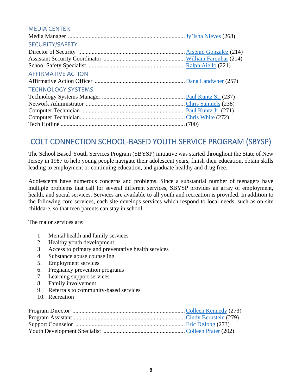#### <span id="page-7-0"></span>MEDIA CENTER

<span id="page-7-3"></span><span id="page-7-2"></span><span id="page-7-1"></span>

| <b>SECURITY/SAFETY</b>    |  |
|---------------------------|--|
|                           |  |
|                           |  |
|                           |  |
| <b>AFFIRMATIVE ACTION</b> |  |
|                           |  |
| <b>TECHNOLOGY SYSTEMS</b> |  |
|                           |  |
|                           |  |
|                           |  |
|                           |  |
|                           |  |

# <span id="page-7-4"></span>COLT CONNECTION SCHOOL-BASED YOUTH SERVICE PROGRAM (SBYSP)

The School Based Youth Services Program (SBYSP) initiative was started throughout the State of New Jersey in 1987 to help young people navigate their adolescent years, finish their education, obtain skills leading to employment or continuing education, and graduate healthy and drug free.

Adolescents have numerous concerns and problems. Since a substantial number of teenagers have multiple problems that call for several different services, SBYSP provides an array of employment, health, and social services. Services are available to all youth and recreation is provided. In addition to the following core services, each site develops services which respond to local needs, such as on-site childcare, so that teen parents can stay in school.

The major services are:

- 1. Mental health and family services
- 2. Healthy youth development
- 3. Access to primary and preventative health services
- 4. Substance abuse counseling
- 5. Employment services
- 6. Pregnancy prevention programs
- 7. Learning support services
- 8. Family involvement
- 9. Referrals to community-based services
- 10. Recreation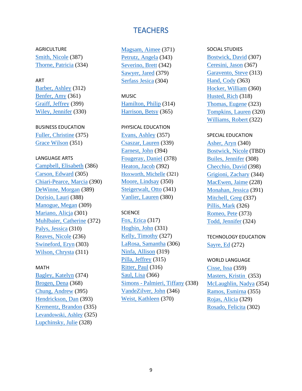# **TEACHERS**

<span id="page-8-0"></span>AGRICULTURE [Smith, Nicole](mailto:SmithN@crhsd.org) (387) [Thorne, Patricia](mailto:thorne@crhsd.org) (334)

#### ART

[Barber, Ashley](mailto:barber@crhsd.org) (312) [Benfer, Amy](mailto:benferam@crhsd.org) (361) [Graiff, Jeffrey](mailto:graiff@crhsd.org) (399) [Wiley, Jennifer](mailto:wiley@crhsd.org) (330)

#### BUSINESS EDUCATION

[Fuller, Christine](mailto:fuller@crhsd.org) (375) [Grace Wilson](mailto:wilsong@crhsd.org) (351)

#### LANGUAGE ARTS

[Campbell, Elisabeth](mailto:campbelle@crhsd.org) (386) [Carson, Edward](mailto:carson@crhsd.org) (305) [Chiari-Pearce, Marcia](mailto:chiari-pearce@crhsd.org) (390) [DeWinne, Morgan](mailto:dewinne@crhsd.org) (389) [Dorisio, Lauri](mailto:dorisio@crhsd.org) (388) [Manogue, Megan](mailto:manoguem@crhsd.org) (309) [Mariano, Alicja](mailto:mariano@crhsd.org) (301) [Muhlbaier, Catherine](mailto:muhlbaier@crhsd.org) (372) [Palys, Jessica](mailto:palys@crhsd.org) (310) [Reaves, Nicole](mailto:reaves@crhsd.org) (236) [Swineford, Eryn](mailto:swineford@chrsd.org) (303) [Wilson, Chrysta](mailto:wilson@crhsd.org) (311)

#### MATH

[Bagley, Katelyn](mailto:BagleyK@crhsd.org) (374) [Brogen, Dena](mailto:brogen@crhsd.org) (368) [Chung, Andrew](mailto:chung@crhsd.org) (395) [Hendrickson, Dan](mailto:hendrickson@crhsd.org) (393) [Krementz, Brandon](mailto:krementz@crhsd.org) (335) [Levandowski, Ashley](mailto:Levandowski@crhsd.org) (325) [Lupchinsky, Julie](mailto:lupchinsky@crhsd.org) (328)

[Magsam, Aimee](mailto:magsam@crhsd.org) (371) [Petrutz, Angela](mailto:Petrutz@crhsd.org) (343) [Severino, Brett](mailto:severino@crhsd.org) (342) [Sawyer, Jared](mailto:sawyerja@crhsd.org) (379) Serfass Jesica (304)

#### MUSIC

[Hamilton, Philip](mailto:hamiltonp@crhsd.org) (314) [Harrison, Betsy](mailto:harrison@crhsd.org) (365)

#### PHYSICAL EDUCATION

[Evans, Ashley](mailto:evansa@crhsd.org) (357) [Csaszar, Lauren](mailto:Csaszar@crhsd.org) (339) [Earnest, John](mailto:earnest@crhsd.org) (394) [Fougeray, Daniel](mailto:fougeray@crhsd.org) (378) [Heaton, Jacob](mailto:Heaton@crhsd.org) (392) [Hoxworth, Michelle](mailto:hoxworth@crhsd.org) (321) [Moore, Lindsay](mailto:moore@crhsd.org) (350) [Steigerwalt, Otto](mailto:steigerwalt@crhsd.org) (341) [Vanlier, Lauren](mailto:vanlier@crhsd.org) (380)

#### **SCIENCE**

[Fox, Erica](mailto:fox@crhsd.org) (317) [Hogbin, John](mailto:hogbin@crhsd.org) (331) [Kelly, Timothy](mailto:kelly@crhsd.org) (327) [LaRosa, Samantha](mailto:larosa@crhsd.org) (306) [Ninfa, Allison](mailto:ninfa@crhsd.org) (319) [Pilla, Jeffrey](mailto:pilla@crhsd.org) (315) [Ritter, Paul](mailto:ritter@crhsd.org) (316) [Saul, Lisa](mailto:saul@crhsd.org) (366) Simons - [Palmieri, Tiffany](mailto:simons@crhsd.org) (338) [VandeZilver, John](mailto:vandezilver@crhsd.org) (346) [Weist, Kathleen](mailto:weist@crhsd.org) (370)

### SOCIAL STUDIES [Bostwick, David](mailto:bostwick@crhsd.org) (307) [Ceresini, Jason](mailto:ceresini@crhsd.org) (367) [Garavento, Steve](mailto:garavento@crhsd.org) (313) [Hand, Cody](mailto:hand@crhsd.org) (363) [Hocker, William](mailto:hocker@crhsd.org) (360) [Husted, Rich](mailto:husted@crhsd.org) (318) [Thomas, Eugene](mailto:thomas@crhsd.org) (323) [Tompkins, Lauren](mailto:tompkins@crhsd.org) (320) [Williams, Robert](mailto:williams@crhsd.org) (322)

#### SPECIAL EDUCATION

[Asher, Aryn](mailto:asher@crhsd.org) (340) Bostwick, Nicole (TBD) [Builes, Jennifer](mailto:Builes@crhsd.org.) (308) [Checchio, David](mailto:checchio@crhsd.org) (398) [Grigioni, Zachary](mailto:grigioni@crhsd.org) (344) [MacEwen, Jaime](mailto:macewen@crhsd.org) (228) [Monahan, Jessica](mailto:monahan@crhsd.org) (391) [Mitchell, Greg](mailto:mitchellg@crhsd.org) (337) [Pillis, Mark](mailto:pillis@crhsd.org) (326) [Romeo, Pete](mailto:romeo@crhsd.org) (373) [Todd, Jennifer](mailto:todd@crhsd.org) (324)

### TECHNOLOGY EDUCATION [Sayre, Ed](mailto:sayre@crhsd.org) (272)

### WORLD LANGUAGE [Cisse, Issa](mailto:cisse@crhsd.org) (359) [Masters, Kristin](mailto:masters@crhsd.org) (353) [McLaughlin, Nadya](mailto:McLaughlin@crhsd.org) (354) [Ramos, Esmirna](mailto:ramos@crhsd.org) (355) [Rojas, Alicia](mailto:rojas@crhsd.org) (329)

[Rosado, Felicita](mailto:Rosado@crhsd.org) (302)

9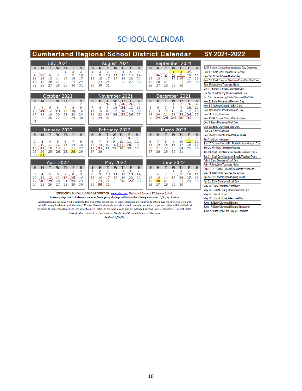# SCHOOL CALENDAR

# <span id="page-9-0"></span>**Cumberland Regional School District Calendar**

#### SY 2021-2022

May 30: School Closed/Memorial Day

June 17: Early Dismissal/Exams/Graduation

June 20: Staff Only/Last Day for Teachers

June 16: Early Dismissal/Exams

|                               | <b>July 2021</b>                          | <b>August 2021</b>                                                                            | September 2021                                                         |                                                        |
|-------------------------------|-------------------------------------------|-----------------------------------------------------------------------------------------------|------------------------------------------------------------------------|--------------------------------------------------------|
| s<br>м                        | S<br>F                                    | s<br>S<br>м<br>Th                                                                             | S<br>s<br>F                                                            | Jul 5: School Closed/Independence Day Observed         |
|                               | 2<br>3                                    | 2<br>7<br>1<br>3<br>5<br>6<br>4                                                               | 2<br>4<br>⋙                                                            | Sep 1-2: Staff Only/Teacher In-Service                 |
| ⋙<br>6<br>4<br>13<br>12<br>11 | 8<br>9<br>10<br>7<br>15<br>17<br>14<br>16 | 9<br>8<br>10<br>11<br>12<br>13<br>14<br>20<br>21<br>15<br>16<br>17<br>18<br>19                | 10<br>9<br>5<br>8<br>11<br>6<br>17<br>18<br>16<br>13<br>14<br>15<br>12 | Sep 3-6: School Closed/Labor Day                       |
| 20<br>19<br>18                | 21<br>22<br>23<br>24                      | 22<br>28<br>23<br>24<br>25<br>26<br>27                                                        | 25<br>19<br>20<br>22<br>23<br>24<br>21                                 | Sep 7-8: First Days for Students/Early Dis./Staff Dev. |
| 27<br>25<br>26                | 28<br>29<br>30<br>31                      | 31<br>29<br>30                                                                                | 27<br>28<br>29<br>30<br>26                                             | Sep 16: Meet the Teachers Night                        |
|                               |                                           |                                                                                               |                                                                        | Oct 11: School Closed/Columbus Day                     |
|                               |                                           |                                                                                               |                                                                        | Oct 13: PSATs/Early Dismissal/Staff Dev.               |
|                               | October 2021                              | November 2021                                                                                 | December 2021                                                          | Oct 15: Homecoming/Early Dismissal/Staff Dev.          |
| S                             | $\mathbf{s}$<br>W                         | S<br>M<br>W<br>S<br>Th                                                                        | $\mathbf{s}$<br>W<br>F<br>S<br>4                                       | Nov 2: Early Dismissal/Election Day                    |
| 3<br>5                        | 2<br>9<br>8<br>6                          | 3<br>2<br>6<br>12<br>8<br>9<br>10<br>7<br>13<br>ж                                             | 2<br>8<br>9<br>TO 11<br>5<br>7<br>6                                    | Nov 4-5: School Closed/ NJEA Conv.                     |
| 12<br>10<br>ĸ                 | 13.<br>14<br>15<br>16                     | 15<br>14<br>17<br>18<br>20<br>16<br>19                                                        | 12<br>13<br>14<br>15<br>16<br>17<br>18                                 | Nov 11: School Closed/Veterans Day                     |
| 18<br>19<br>17                | 22<br>23<br>20<br>21                      | 21<br>22<br>23<br>27<br>24, 25, 26                                                            | 22<br>24.25<br>20<br>21<br>23.<br>19                                   | Nov 24: Early Dismissal                                |
| 25<br>26<br>24                | 27<br>28<br>29<br>30                      | 29<br>28<br>30                                                                                | 26<br>28.<br>29.<br>30.<br>ж<br>27                                     | Nov 25-26: School Closed/Thanksgiving                  |
| 31                            |                                           |                                                                                               |                                                                        | Dec 3: Early Dismissal/Staff Dev.                      |
|                               |                                           |                                                                                               |                                                                        | Dec 10: Early Dismissal/Staff Dev.                     |
|                               | January 2022                              | February 2022                                                                                 | March 2022                                                             | Dec. 23: Early Dismissal                               |
| S                             | S<br>w                                    | s<br>S<br>M                                                                                   | S<br>M<br>W<br>F<br>S<br><b>Th</b>                                     | Dec 24-31: School Closed/Winter Break                  |
| 2<br>з<br>4                   | 8<br>5<br>6                               | 5<br>2<br>3<br>4<br>8<br>9<br>10 <sup>°</sup><br>11<br>6<br>12                                | 3<br>5<br>2<br>4<br>11<br>8<br>10<br>12<br>9<br>6                      | Jan 3: School Re-Opens                                 |
| 11<br>9<br>10                 | 13<br>15<br>12<br>14                      | 14<br>17<br>13<br>15<br>78.<br>19<br>16                                                       | 15<br>18<br>19<br>13<br>14<br>17<br>16                                 | Jan 17: School Closed/Dr. Martin Luther King Jr. Day   |
| 18<br>16<br>x                 | 19<br>20<br>21<br>22                      | 20<br>22<br>23<br>$\lambda$<br>24<br>26<br>25                                                 | 21<br>22<br>23<br>24<br>25<br>26<br>20                                 | Jan 26-27: Early Dismissal/Exams                       |
| 25<br>24<br>23                | 26 27 28<br>29                            | 27<br>28                                                                                      | 31<br>27<br>28<br>29<br>30                                             | Jan 28: Staff Only/Semester Break/Teacher Trans.       |
| 31<br>30                      |                                           |                                                                                               |                                                                        | Jan 31: Staff Only/Semester Break/Teacher Trans.       |
|                               | <b>April 2022</b>                         | May 2022                                                                                      | June 2022                                                              | Feb 4: Early Dismissal/Staff Dev.                      |
| M                             |                                           |                                                                                               | w                                                                      | Feb 17: Meet the Teachers Night                        |
| S                             | s<br>ть<br>2                              | S<br>s<br>м<br>Тh<br>2<br>3<br>5<br>1<br>6<br>4<br>7                                          | S<br>F<br>s<br>2<br>3<br>4<br>1                                        | Feb 18-21: School Closed/Presidents' Weekend           |
| 3<br>5<br>4                   | 9<br>7<br>8<br>6                          | 12<br>13.<br>9<br>11<br>8<br>10<br>14                                                         | 9<br>5<br>7<br>8<br>10<br>11<br>6                                      | Mar 11: Staff Only/Teacher In-Service                  |
| 12<br>10<br>11                | 13<br>75.<br>16<br>74                     | 16<br>15<br>17<br>18<br>19<br>20<br>21                                                        | 16.<br>12<br>13<br>14<br>15<br>R<br>18                                 | Apr 14-19: School Closed/Spring Break                  |
| 17<br>48<br>79.               | 20<br>21<br>22<br>23                      | 28<br>24<br>25<br>22<br>23<br>26<br>Æ                                                         | 23<br>19<br>20<br>21<br>22<br>24<br>25                                 | Apr 22: Early Dismissal/Staff Dev.                     |
| 25<br>26<br>24                | 27<br>28<br>29<br>30                      | 29<br>$30^{31}$                                                                               | 27<br>28<br>29<br>30<br>26                                             | May 13: Early Dismissal/Staff Dev.                     |
|                               |                                           |                                                                                               |                                                                        | May 26: PROM / Early Dismissal/Staff Dev.              |
|                               |                                           | EMERGENCY SCHOOL CLOSING INFORMATION: www.crhsd.org. Blackboard Connect. TV Stations 3, 6, 10 |                                                                        | May 27: Reheal Closed                                  |

Make-up days due to inclement weather/emergency closings will follow the subsequent order: 3/11, 4/14, 4/19 Additional make-up days will be added to the end of the school year in June. Students are required to attend two 90-day semesters and

staff will be required to attend a total of 186 days. Parents, students, and staff should not plan vacations, trips, and other activities that call for deposits, non-refundable fees, etc. prior to July 1, 2021, as the school year may be extended beyond June 18 (students), June 21 (staff). This calendar is subject to change by the Cumberland Regional Board of Education.

Revised: 6/24/21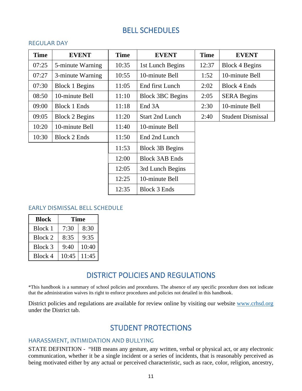# BELL SCHEDULES

#### <span id="page-10-1"></span><span id="page-10-0"></span>REGULAR DAY

| <b>Time</b> | <b>EVENT</b>          | <b>Time</b> | <b>EVENT</b>            | <b>Time</b> | <b>EVENT</b>             |
|-------------|-----------------------|-------------|-------------------------|-------------|--------------------------|
| 07:25       | 5-minute Warning      | 10:35       | 1st Lunch Begins        | 12:37       | <b>Block 4 Begins</b>    |
| 07:27       | 3-minute Warning      | 10:55       | 10-minute Bell          | 1:52        | 10-minute Bell           |
| 07:30       | <b>Block 1 Begins</b> | 11:05       | End first Lunch         | 2:02        | <b>Block 4 Ends</b>      |
| 08:50       | 10-minute Bell        | 11:10       | <b>Block 3BC Begins</b> | 2:05        | <b>SERA Begins</b>       |
| 09:00       | <b>Block 1 Ends</b>   | 11:18       | End 3A                  | 2:30        | 10-minute Bell           |
| 09:05       | <b>Block 2 Begins</b> | 11:20       | <b>Start 2nd Lunch</b>  | 2:40        | <b>Student Dismissal</b> |
| 10:20       | 10-minute Bell        | 11:40       | 10-minute Bell          |             |                          |
| 10:30       | <b>Block 2 Ends</b>   | 11:50       | End 2nd Lunch           |             |                          |
|             |                       | 11:53       | <b>Block 3B Begins</b>  |             |                          |
|             |                       | 12:00       | <b>Block 3AB Ends</b>   |             |                          |
|             |                       | 12:05       | 3rd Lunch Begins        |             |                          |
|             |                       | 12:25       | 10-minute Bell          |             |                          |
|             |                       | 12:35       | <b>Block 3 Ends</b>     |             |                          |

#### <span id="page-10-2"></span>EARLY DISMISSAL BELL SCHEDULE

| <b>Block</b> | Time  |       |  |
|--------------|-------|-------|--|
| Block 1      | 7:30  | 8:30  |  |
| Block 2      | 8:35  | 9:35  |  |
| Block 3      | 9:40  | 10:40 |  |
| Block 4      | 10:45 | 11:45 |  |

# DISTRICT POLICIES AND REGULATIONS

<span id="page-10-3"></span>\*This handbook is a summary of school policies and procedures. The absence of any specific procedure does not indicate that the administration waives its right to enforce procedures and policies not detailed in this handbook.

<span id="page-10-4"></span>District policies and regulations are available for review online by visiting our website [www.crhsd.org](http://www.crhsd.org/) under the District tab.

# STUDENT PROTECTIONS

#### <span id="page-10-5"></span>HARASSMENT, INTIMIDATION AND BULLYING

STATE DEFINITION - "HIB means any gesture, any written, verbal or physical act, or any electronic communication, whether it be a single incident or a series of incidents, that is reasonably perceived as being motivated either by any actual or perceived characteristic, such as race, color, religion, ancestry,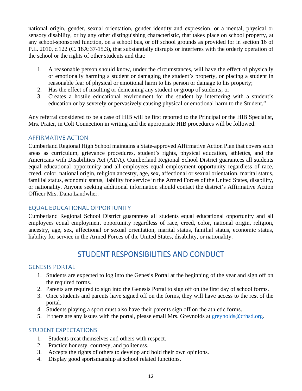national origin, gender, sexual orientation, gender identity and expression, or a mental, physical or sensory disability, or by any other distinguishing characteristic, that takes place on school property, at any school-sponsored function, on a school bus, or off school grounds as provided for in section 16 of P.L. 2010, c.122 (C. 18A:37-15.3), that substantially disrupts or interferes with the orderly operation of the school or the rights of other students and that:

- 1. A reasonable person should know, under the circumstances, will have the effect of physically or emotionally harming a student or damaging the student's property, or placing a student in reasonable fear of physical or emotional harm to his person or damage to his property;
- 2. Has the effect of insulting or demeaning any student or group of students; or
- 3. Creates a hostile educational environment for the student by interfering with a student's education or by severely or pervasively causing physical or emotional harm to the Student."

Any referral considered to be a case of HIB will be first reported to the Principal or the HIB Specialist, Mrs. Prater, in Colt Connection in writing and the appropriate HIB procedures will be followed.

#### <span id="page-11-0"></span>AFFIRMATIVE ACTION

Cumberland Regional High School maintains a State-approved Affirmative Action Plan that covers such areas as curriculum, grievance procedures, student's rights, physical education, athletics, and the Americans with Disabilities Act (ADA). Cumberland Regional School District guarantees all students equal educational opportunity and all employees equal employment opportunity regardless of race, creed, color, national origin, religion ancestry, age, sex, affectional or sexual orientation, marital status, familial status, economic status, liability for service in the Armed Forces of the United States, disability, or nationality. Anyone seeking additional information should contact the district's Affirmative Action Officer Mrs. Dana Landwher.

#### <span id="page-11-1"></span>EQUAL EDUCATIONAL OPPORTUNITY

Cumberland Regional School District guarantees all students equal educational opportunity and all employees equal employment opportunity regardless of race, creed, color, national origin, religion, ancestry, age, sex, affectional or sexual orientation, marital status, familial status, economic status, liability for service in the Armed Forces of the United States, disability, or nationality.

# STUDENT RESPONSIBILITIES AND CONDUCT

#### <span id="page-11-3"></span><span id="page-11-2"></span>GENESIS PORTAL

- 1. Students are expected to log into the Genesis Portal at the beginning of the year and sign off on the required forms.
- 2. Parents are required to sign into the Genesis Portal to sign off on the first day of school forms.
- 3. Once students and parents have signed off on the forms, they will have access to the rest of the portal.
- 4. Students playing a sport must also have their parents sign off on the athletic forms.
- 5. If there are any issues with the portal, please email Mrs. Greynolds at [greynolds@crhsd.org.](mailto:greynolds@crhsd.org)

#### <span id="page-11-4"></span>STUDENT EXPECTATIONS

- 1. Students treat themselves and others with respect.
- 2. Practice honesty, courtesy, and politeness.
- 3. Accepts the rights of others to develop and hold their own opinions.
- 4. Display good sportsmanship at school related functions.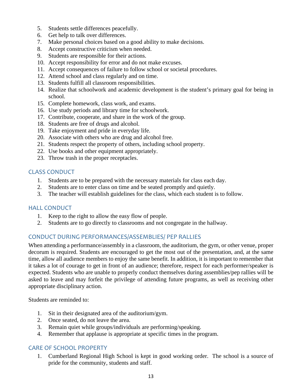- 5. Students settle differences peacefully.
- 6. Get help to talk over differences.
- 7. Make personal choices based on a good ability to make decisions.
- 8. Accept constructive criticism when needed.
- 9. Students are responsible for their actions.
- 10. Accept responsibility for error and do not make excuses.
- 11. Accept consequences of failure to follow school or societal procedures.
- 12. Attend school and class regularly and on time.
- 13. Students fulfill all classroom responsibilities.
- 14. Realize that schoolwork and academic development is the student's primary goal for being in school.
- 15. Complete homework, class work, and exams.
- 16. Use study periods and library time for schoolwork.
- 17. Contribute, cooperate, and share in the work of the group.
- 18. Students are free of drugs and alcohol.
- 19. Take enjoyment and pride in everyday life.
- 20. Associate with others who are drug and alcohol free.
- 21. Students respect the property of others, including school property.
- 22. Use books and other equipment appropriately.
- 23. Throw trash in the proper receptacles.

#### <span id="page-12-0"></span>CLASS CONDUCT

- 1. Students are to be prepared with the necessary materials for class each day.
- 2. Students are to enter class on time and be seated promptly and quietly.
- 3. The teacher will establish guidelines for the class, which each student is to follow.

#### <span id="page-12-1"></span>HALL CONDUCT

- 1. Keep to the right to allow the easy flow of people.
- 2. Students are to go directly to classrooms and not congregate in the hallway.

#### <span id="page-12-2"></span>CONDUCT DURING PERFORMANCES/ASSEMBLIES/ PEP RALLIES

When attending a performance/assembly in a classroom, the auditorium, the gym, or other venue, proper decorum is required. Students are encouraged to get the most out of the presentation, and, at the same time, allow all audience members to enjoy the same benefit. In addition, it is important to remember that it takes a lot of courage to get in front of an audience; therefore, respect for each performer/speaker is expected. Students who are unable to properly conduct themselves during assemblies/pep rallies will be asked to leave and may forfeit the privilege of attending future programs, as well as receiving other appropriate disciplinary action.

Students are reminded to:

- 1. Sit in their designated area of the auditorium/gym.
- 2. Once seated, do not leave the area.
- 3. Remain quiet while groups/individuals are performing/speaking.
- 4. Remember that applause is appropriate at specific times in the program.

### <span id="page-12-3"></span>CARE OF SCHOOL PROPERTY

1. Cumberland Regional High School is kept in good working order. The school is a source of pride for the community, students and staff.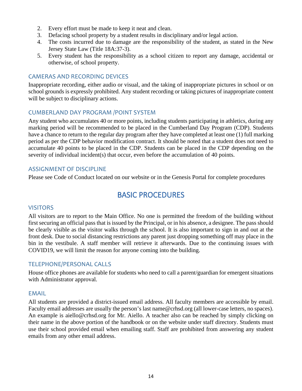- 2. Every effort must be made to keep it neat and clean.
- 3. Defacing school property by a student results in disciplinary and/or legal action.
- 4. The costs incurred due to damage are the responsibility of the student, as stated in the New Jersey State Law (Title 18A:37-3).
- 5. Every student has the responsibility as a school citizen to report any damage, accidental or otherwise, of school property.

#### <span id="page-13-0"></span>CAMERAS AND RECORDING DEVICES

Inappropriate recording, either audio or visual, and the taking of inappropriate pictures in school or on school grounds is expressly prohibited. Any student recording or taking pictures of inappropriate content will be subject to disciplinary actions.

#### <span id="page-13-1"></span>CUMBERLAND DAY PROGRAM /POINT SYSTEM

Any student who accumulates 40 or more points, including students participating in athletics, during any marking period will be recommended to be placed in the Cumberland Day Program (CDP). Students have a chance to return to the regular day program after they have completed at least one (1) full marking period as per the CDP behavior modification contract. It should be noted that a student does not need to accumulate 40 points to be placed in the CDP. Students can be placed in the CDP depending on the severity of individual incident(s) that occur, even before the accumulation of 40 points.

#### <span id="page-13-2"></span>ASSIGNMENT OF DISCIPLINE

<span id="page-13-3"></span>Please see Code of Conduct located on our website or in the Genesis Portal for complete procedures

# BASIC PROCEDURES

#### <span id="page-13-4"></span>**VISITORS**

All visitors are to report to the Main Office. No one is permitted the freedom of the building without first securing an official pass that is issued by the Principal, or in his absence, a designee. The pass should be clearly visible as the visitor walks through the school. It is also important to sign in and out at the front desk. Due to social distancing restrictions any parent just dropping something off may place in the bin in the vestibule. A staff member will retrieve it afterwards. Due to the continuing issues with COVID19, we will limit the reason for anyone coming into the building.

#### <span id="page-13-5"></span>TELEPHONE/PERSONAL CALLS

House office phones are available for students who need to call a parent/guardian for emergent situations with Administrator approval.

#### <span id="page-13-6"></span>EMAIL

All students are provided a district-issued email address. All faculty members are accessible by email. Faculty email addresses are usually the person's last name@crhsd.org (all lower-case letters, no spaces). An example is aiello@crhsd.org for Mr. Aiello. A teacher also can be reached by simply clicking on their name in the above portion of the handbook or on the website under staff directory. Students must use their school provided email when emailing staff. Staff are prohibited from answering any student emails from any other email address.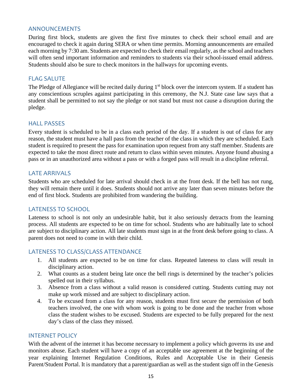#### <span id="page-14-0"></span>ANNOUNCEMENTS

During first block, students are given the first five minutes to check their school email and are encouraged to check it again during SERA or when time permits. Morning announcements are emailed each morning by 7:30 am. Students are expected to check their email regularly, as the school and teachers will often send important information and reminders to students via their school-issued email address. Students should also be sure to check monitors in the hallways for upcoming events.

#### <span id="page-14-1"></span>FLAG SALUTE

The Pledge of Allegiance will be recited daily during 1<sup>st</sup> block over the intercom system. If a student has any conscientious scruples against participating in this ceremony, the N.J. State case law says that a student shall be permitted to not say the pledge or not stand but must not cause a disruption during the pledge.

#### <span id="page-14-2"></span>HALL PASSES

Every student is scheduled to be in a class each period of the day. If a student is out of class for any reason, the student must have a hall pass from the teacher of the class in which they are scheduled. Each student is required to present the pass for examination upon request from any staff member. Students are expected to take the most direct route and return to class within seven minutes. Anyone found abusing a pass or in an unauthorized area without a pass or with a forged pass will result in a discipline referral.

#### <span id="page-14-3"></span>LATE ARRIVALS

Students who are scheduled for late arrival should check in at the front desk. If the bell has not rung, they will remain there until it does. Students should not arrive any later than seven minutes before the end of first block. Students are prohibited from wandering the building.

#### <span id="page-14-4"></span>LATENESS TO SCHOOL

Lateness to school is not only an undesirable habit, but it also seriously detracts from the learning process. All students are expected to be on time for school. Students who are habitually late to school are subject to disciplinary action. All late students must sign in at the front desk before going to class. A parent does not need to come in with their child.

#### <span id="page-14-5"></span>LATENESS TO CLASS/CLASS ATTENDANCE

- 1. All students are expected to be on time for class. Repeated lateness to class will result in disciplinary action.
- 2. What counts as a student being late once the bell rings is determined by the teacher's policies spelled out in their syllabus.
- 3. Absence from a class without a valid reason is considered cutting. Students cutting may not make up work missed and are subject to disciplinary action.
- 4. To be excused from a class for any reason, students must first secure the permission of both teachers involved, the one with whom work is going to be done and the teacher from whose class the student wishes to be excused. Students are expected to be fully prepared for the next day's class of the class they missed.

#### <span id="page-14-6"></span>INTERNET POLICY

With the advent of the internet it has become necessary to implement a policy which governs its use and monitors abuse. Each student will have a copy of an acceptable use agreement at the beginning of the year explaining Internet Regulation Conditions, Rules and Acceptable Use in their Genesis Parent/Student Portal. It is mandatory that a parent/guardian as well as the student sign off in the Genesis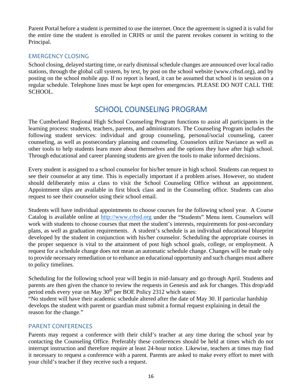Parent Portal before a student is permitted to use the internet. Once the agreement is signed it is valid for the entire time the student is enrolled in CRHS or until the parent revokes consent in writing to the Principal.

#### <span id="page-15-0"></span>EMERGENCY CLOSING

School closing, delayed starting time, or early dismissal schedule changes are announced over local radio stations, through the global call system, by text, by post on the school website (www.crhsd.org), and by posting on the school mobile app. If no report is heard, it can be assumed that school is in session on a regular schedule. Telephone lines must be kept open for emergencies. PLEASE DO NOT CALL THE SCHOOL.

# SCHOOL COUNSELING PROGRAM

<span id="page-15-1"></span>The Cumberland Regional High School Counseling Program functions to assist all participants in the learning process: students, teachers, parents, and administrators. The Counseling Program includes the following student services: individual and group counseling, personal/social counseling, career counseling, as well as postsecondary planning and counseling. Counselors utilize Naviance as well as other tools to help students learn more about themselves and the options they have after high school. Through educational and career planning students are given the tools to make informed decisions.

Every student is assigned to a school counselor for his/her tenure in high school. Students can request to see their counselor at any time. This is especially important if a problem arises. However, no student should deliberately miss a class to visit the School Counseling Office without an appointment. Appointment slips are available in first block class and in the Counseling office. Students can also request to see their counselor using their school email.

Students will have individual appointments to choose courses for the following school year. A Course Catalog is available online at [http://www.crhsd.org](http://www.crhsd.org/) under the "Students" Menu item. Counselors will work with students to choose courses that meet the student's interests, requirements for post-secondary plans, as well as graduation requirements. A student's schedule is an individual educational blueprint developed by the student in conjunction with his/her counselor. Scheduling the appropriate courses in the proper sequence is vital to the attainment of post high school goals, college, or employment. A request for a schedule change does not mean an automatic schedule change. Changes will be made only to provide necessary remediation or to enhance an educational opportunity and such changes must adhere to policy timelines.

Scheduling for the following school year will begin in mid-January and go through April. Students and parents are then given the chance to review the requests in Genesis and ask for changes. This drop/add period ends every year on May  $30<sup>th</sup>$  per BOE Policy 2312 which states:

"No student will have their academic schedule altered after the date of May 30. If particular hardship develops the student with parent or guardian must submit a formal request explaining in detail the reason for the change."

#### <span id="page-15-2"></span>PARENT CONFERENCES

Parents may request a conference with their child's teacher at any time during the school year by contacting the Counseling Office. Preferably these conferences should be held at times which do not interrupt instruction and therefore require at least 24-hour notice. Likewise, teachers at times may find it necessary to request a conference with a parent. Parents are asked to make every effort to meet with your child's teacher if they receive such a request.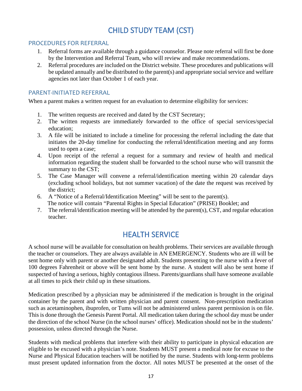# CHILD STUDY TEAM (CST)

#### <span id="page-16-1"></span><span id="page-16-0"></span>PROCEDURES FOR REFERRAL

- 1. Referral forms are available through a guidance counselor. Please note referral will first be done by the Intervention and Referral Team, who will review and make recommendations.
- 2. Referral procedures are included on the District website. These procedures and publications will be updated annually and be distributed to the parent(s) and appropriate social service and welfare agencies not later than October 1 of each year.

#### <span id="page-16-2"></span>PARENT-INITIATED REFERRAL

When a parent makes a written request for an evaluation to determine eligibility for services:

- 1. The written requests are received and dated by the CST Secretary;
- 2. The written requests are immediately forwarded to the office of special services/special education;
- 3. A file will be initiated to include a timeline for processing the referral including the date that initiates the 20-day timeline for conducting the referral/identification meeting and any forms used to open a case;
- 4. Upon receipt of the referral a request for a summary and review of health and medical information regarding the student shall be forwarded to the school nurse who will transmit the summary to the CST;
- 5. The Case Manager will convene a referral/identification meeting within 20 calendar days (excluding school holidays, but not summer vacation) of the date the request was received by the district;
- 6. A "Notice of a Referral/Identification Meeting" will be sent to the parent(s). The notice will contain "Parental Rights in Special Education" (PRISE) Booklet; and
- <span id="page-16-3"></span>7. The referral/identification meeting will be attended by the parent(s), CST, and regular education teacher.

# HEALTH SERVICE

A school nurse will be available for consultation on health problems. Their services are available through the teacher or counselors. They are always available in AN EMERGENCY. Students who are ill will be sent home only with parent or another designated adult. Students presenting to the nurse with a fever of 100 degrees Fahrenheit or above will be sent home by the nurse. A student will also be sent home if suspected of having a serious, highly contagious illness. Parents/guardians shall have someone available at all times to pick their child up in these situations.

Medication prescribed by a physician may be administered if the medication is brought in the original container by the parent and with written physician and parent consent. Non-prescription medication such as acetaminophen, ibuprofen, or Tums will not be administered unless parent permission is on file. This is done through the Genesis Parent Portal. All medication taken during the school day must be under the direction of the school Nurse (in the school nurses' office). Medication should not be in the students' possession, unless directed through the Nurse.

Students with medical problems that interfere with their ability to participate in physical education are eligible to be excused with a physician's note. Students MUST present a medical note for excuse to the Nurse and Physical Education teachers will be notified by the nurse. Students with long-term problems must present updated information from the doctor. All notes MUST be presented at the onset of the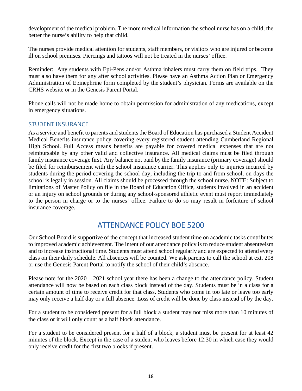development of the medical problem. The more medical information the school nurse has on a child, the better the nurse's ability to help that child.

The nurses provide medical attention for students, staff members, or visitors who are injured or become ill on school premises. Piercings and tattoos will not be treated in the nurses' office.

Reminder: Any students with Epi-Pens and/or Asthma inhalers must carry them on field trips. They must also have them for any after school activities. Please have an Asthma Action Plan or Emergency Administration of Epinephrine form completed by the student's physician. Forms are available on the CRHS website or in the Genesis Parent Portal.

Phone calls will not be made home to obtain permission for administration of any medications, except in emergency situations.

### <span id="page-17-0"></span>STUDENT INSURANCE

As a service and benefit to parents and students the Board of Education has purchased a Student Accident Medical Benefits insurance policy covering every registered student attending Cumberland Regional High School. Full Access means benefits are payable for covered medical expenses that are not reimbursable by any other valid and collective insurance. All medical claims must be filed through family insurance coverage first. Any balance not paid by the family insurance (primary coverage) should be filed for reimbursement with the school insurance carrier. This applies only to injuries incurred by students during the period covering the school day, including the trip to and from school, on days the school is legally in session. All claims should be processed through the school nurse. NOTE: Subject to limitations of Master Policy on file in the Board of Education Office, students involved in an accident or an injury on school grounds or during any school-sponsored athletic event must report immediately to the person in charge or to the nurses' office. Failure to do so may result in forfeiture of school insurance coverage.

# ATTENDANCE POLICY BOE 5200

<span id="page-17-1"></span>Our School Board is supportive of the concept that increased student time on academic tasks contributes to improved academic achievement. The intent of our attendance policy is to reduce student absenteeism and to increase instructional time. Students must attend school regularly and are expected to attend every class on their daily schedule. All absences will be counted. We ask parents to call the school at ext. 208 or use the Genesis Parent Portal to notify the school of their child's absence.

Please note for the 2020 – 2021 school year there has been a change to the attendance policy. Student attendance will now be based on each class block instead of the day. Students must be in a class for a certain amount of time to receive credit for that class. Students who come in too late or leave too early may only receive a half day or a full absence. Loss of credit will be done by class instead of by the day.

For a student to be considered present for a full block a student may not miss more than 10 minutes of the class or it will only count as a half block attendance.

For a student to be considered present for a half of a block, a student must be present for at least 42 minutes of the block. Except in the case of a student who leaves before 12:30 in which case they would only receive credit for the first two blocks if present.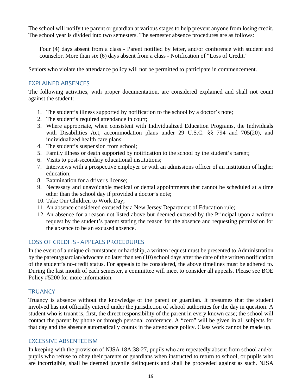The school will notify the parent or guardian at various stages to help prevent anyone from losing credit. The school year is divided into two semesters. The semester absence procedures are as follows:

Four (4) days absent from a class - Parent notified by letter, and/or conference with student and counselor. More than six (6) days absent from a class - Notification of "Loss of Credit."

Seniors who violate the attendance policy will not be permitted to participate in commencement.

#### <span id="page-18-0"></span>EXPLAINED ABSENCES

The following activities, with proper documentation, are considered explained and shall not count against the student:

- 1. The student's illness supported by notification to the school by a doctor's note;
- 2. The student's required attendance in court;
- 3. Where appropriate, when consistent with Individualized Education Programs, the Individuals with Disabilities Act, accommodation plans under 29 U.S.C. §§ 794 and 705(20), and individualized health care plans;
- 4. The student's suspension from school;
- 5. Family illness or death supported by notification to the school by the student's parent;
- 6. Visits to post-secondary educational institutions;
- 7. Interviews with a prospective employer or with an admissions officer of an institution of higher education;
- 8. Examination for a driver's license;
- 9. Necessary and unavoidable medical or dental appointments that cannot be scheduled at a time other than the school day if provided a doctor's note;
- 10. Take Our Children to Work Day;
- 11. An absence considered excused by a New Jersey Department of Education rule;
- 12. An absence for a reason not listed above but deemed excused by the Principal upon a written request by the student's parent stating the reason for the absence and requesting permission for the absence to be an excused absence.

### <span id="page-18-1"></span>LOSS OF CREDITS - APPEALS PROCEDURES

In the event of a unique circumstance or hardship, a written request must be presented to Administration by the parent/guardian/advocate no later than ten (10) school days after the date of the written notification of the student's no-credit status. For appeals to be considered, the above timelines must be adhered to. During the last month of each semester, a committee will meet to consider all appeals. Please see BOE Policy #5200 for more information.

### <span id="page-18-2"></span>**TRUANCY**

Truancy is absence without the knowledge of the parent or guardian. It presumes that the student involved has not officially entered under the jurisdiction of school authorities for the day in question. A student who is truant is, first, the direct responsibility of the parent in every known case; the school will contact the parent by phone or through personal conference. A "zero" will be given in all subjects for that day and the absence automatically counts in the attendance policy. Class work cannot be made up.

#### <span id="page-18-3"></span>EXCESSIVE ABSENTEEISM

In keeping with the provision of NJSA 18A:38-27, pupils who are repeatedly absent from school and/or pupils who refuse to obey their parents or guardians when instructed to return to school, or pupils who are incorrigible, shall be deemed juvenile delinquents and shall be proceeded against as such. NJSA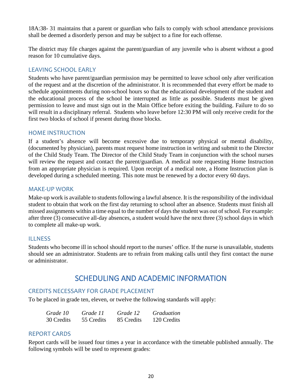18A:38- 31 maintains that a parent or guardian who fails to comply with school attendance provisions shall be deemed a disorderly person and may be subject to a fine for each offense.

The district may file charges against the parent/guardian of any juvenile who is absent without a good reason for 10 cumulative days.

#### <span id="page-19-0"></span>LEAVING SCHOOL EARLY

Students who have parent/guardian permission may be permitted to leave school only after verification of the request and at the discretion of the administrator. It is recommended that every effort be made to schedule appointments during non-school hours so that the educational development of the student and the educational process of the school be interrupted as little as possible. Students must be given permission to leave and must sign out in the Main Office before exiting the building. Failure to do so will result in a disciplinary referral. Students who leave before 12:30 PM will only receive credit for the first two blocks of school if present during those blocks.

#### <span id="page-19-1"></span>HOME INSTRUCTION

If a student's absence will become excessive due to temporary physical or mental disability, (documented by physician), parents must request home instruction in writing and submit to the Director of the Child Study Team. The Director of the Child Study Team in conjunction with the school nurses will review the request and contact the parent/guardian. A medical note requesting Home Instruction from an appropriate physician is required. Upon receipt of a medical note, a Home Instruction plan is developed during a scheduled meeting. This note must be renewed by a doctor every 60 days.

#### <span id="page-19-2"></span>MAKE-UP WORK

Make-up work is available to students following a lawful absence. It is the responsibility of the individual student to obtain that work on the first day returning to school after an absence. Students must finish all missed assignments within a time equal to the number of days the student was out of school. For example: after three (3) consecutive all-day absences, a student would have the next three (3) school days in which to complete all make-up work.

#### <span id="page-19-3"></span>**ILLNESS**

<span id="page-19-4"></span>Students who become ill in school should report to the nurses' office. If the nurse is unavailable, students should see an administrator. Students are to refrain from making calls until they first contact the nurse or administrator.

# SCHEDULING AND ACADEMIC INFORMATION

#### <span id="page-19-5"></span>CREDITS NECESSARY FOR GRADE PLACEMENT

To be placed in grade ten, eleven, or twelve the following standards will apply:

| Grade 10   | Grade 11   | Grade 12   | <i>Graduation</i> |
|------------|------------|------------|-------------------|
| 30 Credits | 55 Credits | 85 Credits | 120 Credits       |

#### <span id="page-19-6"></span>REPORT CARDS

Report cards will be issued four times a year in accordance with the timetable published annually. The following symbols will be used to represent grades: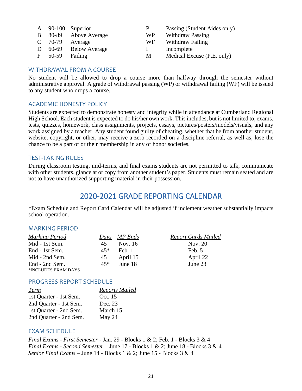|             | A 90-100 Superior     | P            | Passing (Student Aides only) |
|-------------|-----------------------|--------------|------------------------------|
|             | B 80-89 Above Average | WP           | <b>Withdraw Passing</b>      |
|             | $C$ 70-79 Average     | WF.          | Withdraw Failing             |
|             | D 60-69 Below Average | $\mathbf{L}$ | Incomplete                   |
| $F = 50-59$ | Failing               | М            | Medical Excuse (P.E. only)   |

#### <span id="page-20-0"></span>WITHDRAWAL FROM A COURSE

No student will be allowed to drop a course more than halfway through the semester without administrative approval. A grade of withdrawal passing (WP) or withdrawal failing (WF) will be issued to any student who drops a course.

#### <span id="page-20-1"></span>ACADEMIC HONESTY POLICY

Students are expected to demonstrate honesty and integrity while in attendance at Cumberland Regional High School. Each student is expected to do his/her own work. This includes, but is not limited to, exams, tests, quizzes, homework, class assignments, projects, essays, pictures/posters/models/visuals, and any work assigned by a teacher. Any student found guilty of cheating, whether that be from another student, website, copyright, or other, may receive a zero recorded on a discipline referral, as well as, lose the chance to be a part of or their membership in any of honor societies.

#### <span id="page-20-2"></span>TEST-TAKING RULES

<span id="page-20-3"></span>During classroom testing, mid-terms, and final exams students are not permitted to talk, communicate with other students, glance at or copy from another student's paper. Students must remain seated and are not to have unauthorized supporting material in their possession.

# 2020-2021 GRADE REPORTING CALENDAR

\*Exam Schedule and Report Card Calendar will be adjusted if inclement weather substantially impacts school operation.

#### <span id="page-20-4"></span>MARKING PERIOD

| <b>Marking Period</b> |       | Days MP Ends | <b>Report Cards Mailed</b> |
|-----------------------|-------|--------------|----------------------------|
| Mid - 1st Sem.        | 45    | Nov. 16      | Nov. 20                    |
| End - 1st Sem.        | $45*$ | Feb. 1       | Feb. 5                     |
| Mid - 2nd Sem.        | 45    | April 15     | April 22                   |
| End - 2nd Sem.        | $45*$ | June 18      | June 23                    |
| *INCLUDES EXAM DAYS   |       |              |                            |

#### <span id="page-20-5"></span>PROGRESS REPORT SCHEDULE

| <b>Reports Mailed</b> |
|-----------------------|
| Oct. 15               |
| Dec. 23               |
| March 15              |
| May 24                |
|                       |

#### <span id="page-20-6"></span>EXAM SCHEDULE

*Final Exams - First Semester* - Jan. 29 - Blocks 1 & 2; Feb. 1 - Blocks 3 & 4 *Final Exams - Second Semester* – June 17 - Blocks 1 & 2; June 18 - Blocks 3 & 4 *Senior Final Exams* – June 14 - Blocks 1 & 2; June 15 - Blocks 3 & 4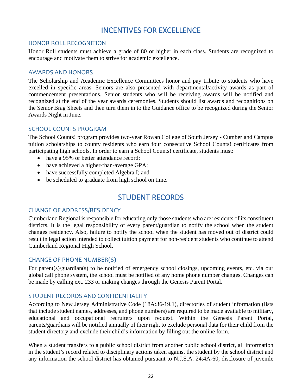# INCENTIVES FOR EXCELLENCE

#### <span id="page-21-1"></span><span id="page-21-0"></span>HONOR ROLL RECOGNITION

Honor Roll students must achieve a grade of 80 or higher in each class. Students are recognized to encourage and motivate them to strive for academic excellence.

#### <span id="page-21-2"></span>AWARDS AND HONORS

The Scholarship and Academic Excellence Committees honor and pay tribute to students who have excelled in specific areas. Seniors are also presented with departmental/activity awards as part of commencement presentations. Senior students who will be receiving awards will be notified and recognized at the end of the year awards ceremonies. Students should list awards and recognitions on the Senior Brag Sheets and then turn them in to the Guidance office to be recognized during the Senior Awards Night in June.

#### <span id="page-21-3"></span>SCHOOL COUNTS PROGRAM

The School Counts! program provides two-year Rowan College of South Jersey - Cumberland Campus tuition scholarships to county residents who earn four consecutive School Counts! certificates from participating high schools. In order to earn a School Counts! certificate, students must:

- have a 95% or better attendance record:
- have achieved a higher-than-average GPA;
- have successfully completed Algebra I; and
- <span id="page-21-4"></span>• be scheduled to graduate from high school on time.

# STUDENT RECORDS

#### <span id="page-21-5"></span>CHANGE OF ADDRESS/RESIDENCY

Cumberland Regional is responsible for educating only those students who are residents of its constituent districts. It is the legal responsibility of every parent/guardian to notify the school when the student changes residency. Also, failure to notify the school when the student has moved out of district could result in legal action intended to collect tuition payment for non-resident students who continue to attend Cumberland Regional High School.

#### <span id="page-21-6"></span>CHANGE OF PHONE NUMBER(S)

For parent(s)/guardian(s) to be notified of emergency school closings, upcoming events, etc. via our global call phone system, the school must be notified of any home phone number changes. Changes can be made by calling ext. 233 or making changes through the Genesis Parent Portal.

#### <span id="page-21-7"></span>STUDENT RECORDS AND CONFIDENTIALITY

According to New Jersey Administrative Code (18A:36-19.1), directories of student information (lists that include student names, addresses, and phone numbers) are required to be made available to military, educational and occupational recruiters upon request. Within the Genesis Parent Portal, parents/guardians will be notified annually of their right to exclude personal data for their child from the student directory and exclude their child's information by filling out the online form.

When a student transfers to a public school district from another public school district, all information in the student's record related to disciplinary actions taken against the student by the school district and any information the school district has obtained pursuant to N.J.S.A. 24:4A-60, disclosure of juvenile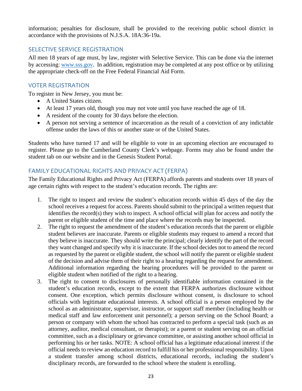information; penalties for disclosure, shall be provided to the receiving public school district in accordance with the provisions of N.J.S.A. 18A:36-19a.

#### <span id="page-22-0"></span>SELECTIVE SERVICE REGISTRATION

All men 18 years of age must, by law, register with Selective Service. This can be done via the internet by accessing: [www.sss.gov.](http://www.sss.gov/) In addition, registration may be completed at any post office or by utilizing the appropriate check-off on the Free Federal Financial Aid Form.

### <span id="page-22-1"></span>VOTER REGISTRATION

To register in New Jersey, you must be:

- A United States citizen.
- At least 17 years old, though you may not vote until you have reached the age of 18.
- A resident of the county for 30 days before the election.
- A person not serving a sentence of incarceration as the result of a conviction of any indictable offense under the laws of this or another state or of the United States.

Students who have turned 17 and will be eligible to vote in an upcoming election are encouraged to register. Please go to the [Cumberland County Clerk's webpage.](https://ccclerknj.com/election-information/) Forms may also be found under the student tab on our website and in the Genesis Student Portal.

### <span id="page-22-2"></span>FAMILY EDUCATIONAL RIGHTS AND PRIVACY ACT (FERPA)

The Family Educational Rights and Privacy Act (FERPA) affords parents and students over 18 years of age certain rights with respect to the student's education records. The rights are:

- 1. The right to inspect and review the student's education records within 45 days of the day the school receives a request for access. Parents should submit to the principal a written request that identifies the record(s) they wish to inspect. A school official will plan for access and notify the parent or eligible student of the time and place where the records may be inspected.
- 2. The right to request the amendment of the student's education records that the parent or eligible student believes are inaccurate. Parents or eligible students may request to amend a record that they believe is inaccurate. They should write the principal; clearly identify the part of the record they want changed and specify why it is inaccurate. If the school decides not to amend the record as requested by the parent or eligible student, the school will notify the parent or eligible student of the decision and advise them of their right to a hearing regarding the request for amendment. Additional information regarding the hearing procedures will be provided to the parent or eligible student when notified of the right to a hearing.
- 3. The right to consent to disclosures of personally identifiable information contained in the student's education records, except to the extent that FERPA authorizes disclosure without consent. One exception, which permits disclosure without consent, is disclosure to school officials with legitimate educational interests. A school official is a person employed by the school as an administrator, supervisor, instructor, or support staff member (including health or medical staff and law enforcement unit personnel); a person serving on the School Board; a person or company with whom the school has contracted to perform a special task (such as an attorney, auditor, medical consultant, or therapist); or a parent or student serving on an official committee, such as a disciplinary or grievance committee, or assisting another school official in performing his or her tasks. NOTE: A school official has a legitimate educational interest if the official needs to review an education record to fulfill his or her professional responsibility. Upon a student transfer among school districts, educational records, including the student's disciplinary records, are forwarded to the school where the student is enrolling.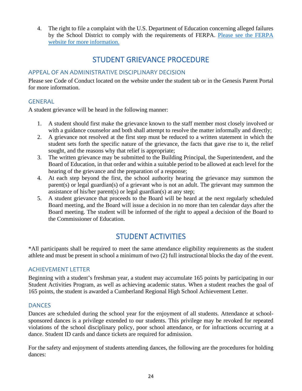<span id="page-23-0"></span>4. The right to file a complaint with the U.S. Department of Education concerning alleged failures by the School District to comply with the requirements of FERPA. [Please see the FERPA](https://www2.ed.gov/policy/gen/guid/fpco/ferpa/index.html)  [website for more information.](https://www2.ed.gov/policy/gen/guid/fpco/ferpa/index.html)

# STUDENT GRIEVANCE PROCEDURE

### <span id="page-23-1"></span>APPEAL OF AN ADMINISTRATIVE DISCIPLINARY DECISION

Please see Code of Conduct located on the website under the student tab or in the Genesis Parent Portal for more information.

### <span id="page-23-2"></span>GENERAL

A student grievance will be heard in the following manner:

- 1. A student should first make the grievance known to the staff member most closely involved or with a guidance counselor and both shall attempt to resolve the matter informally and directly;
- 2. A grievance not resolved at the first step must be reduced to a written statement in which the student sets forth the specific nature of the grievance, the facts that gave rise to it, the relief sought, and the reasons why that relief is appropriate;
- 3. The written grievance may be submitted to the Building Principal, the Superintendent, and the Board of Education, in that order and within a suitable period to be allowed at each level for the hearing of the grievance and the preparation of a response;
- 4. At each step beyond the first, the school authority hearing the grievance may summon the parent(s) or legal guardian(s) of a grievant who is not an adult. The grievant may summon the assistance of his/her parent(s) or legal guardian(s) at any step;
- 5. A student grievance that proceeds to the Board will be heard at the next regularly scheduled Board meeting, and the Board will issue a decision in no more than ten calendar days after the Board meeting. The student will be informed of the right to appeal a decision of the Board to the Commissioner of Education.

# STUDENT ACTIVITIES

<span id="page-23-3"></span>\*All participants shall be required to meet the same attendance eligibility requirements as the student athlete and must be present in school a minimum of two (2) full instructional blocks the day of the event.

#### <span id="page-23-4"></span>ACHIEVEMENT LETTER

Beginning with a student's freshman year, a student may accumulate 165 points by participating in our Student Activities Program, as well as achieving academic status. When a student reaches the goal of 165 points, the student is awarded a Cumberland Regional High School Achievement Letter.

#### <span id="page-23-5"></span>**DANCES**

Dances are scheduled during the school year for the enjoyment of all students. Attendance at schoolsponsored dances is a privilege extended to our students. This privilege may be revoked for repeated violations of the school disciplinary policy, poor school attendance, or for infractions occurring at a dance. Student ID cards and dance tickets are required for admission.

For the safety and enjoyment of students attending dances, the following are the procedures for holding dances: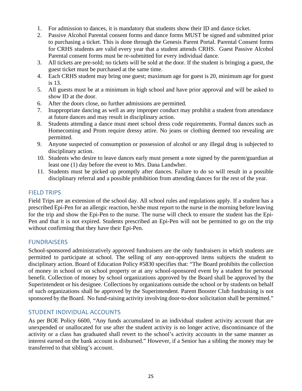- 1. For admission to dances, it is mandatory that students show their ID and dance ticket.
- 2. Passive Alcohol Parental consent forms and dance forms MUST be signed and submitted prior to purchasing a ticket. This is done through the Genesis Parent Portal. Parental Consent forms for CRHS students are valid every year that a student attends CRHS. Guest Passive Alcohol Parental consent forms must be re-submitted for every individual dance.
- 3. All tickets are pre-sold; no tickets will be sold at the door. If the student is bringing a guest, the guest ticket must be purchased at the same time.
- 4. Each CRHS student may bring one guest; maximum age for guest is 20, minimum age for guest is 13.
- 5. All guests must be at a minimum in high school and have prior approval and will be asked to show ID at the door.
- 6. After the doors close, no further admissions are permitted.
- 7. Inappropriate dancing as well as any improper conduct may prohibit a student from attendance at future dances and may result in disciplinary action.
- 8. Students attending a dance must meet school dress code requirements. Formal dances such as Homecoming and Prom require dressy attire. No jeans or clothing deemed too revealing are permitted.
- 9. Anyone suspected of consumption or possession of alcohol or any illegal drug is subjected to disciplinary action.
- 10. Students who desire to leave dances early must present a note signed by the parent/guardian at least one (1) day before the event to Mrs. Dana Landwher.
- 11. Students must be picked up promptly after dances. Failure to do so will result in a possible disciplinary referral and a possible prohibition from attending dances for the rest of the year.

#### <span id="page-24-0"></span>FIELD TRIPS

Field Trips are an extension of the school day. All school rules and regulations apply. If a student has a prescribed Epi-Pen for an allergic reaction, he/she must report to the nurse in the morning before leaving for the trip and show the Epi-Pen to the nurse. The nurse will check to ensure the student has the Epi-Pen and that it is not expired. Students prescribed an Epi-Pen will not be permitted to go on the trip without confirming that they have their Epi-Pen.

#### <span id="page-24-1"></span>FUNDRAISERS

School-sponsored administratively approved fundraisers are the only fundraisers in which students are permitted to participate at school. The selling of any non-approved items subjects the student to disciplinary action. Board of Education Policy #5830 specifies that: "The Board prohibits the collection of money in school or on school property or at any school-sponsored event by a student for personal benefit. Collection of money by school organizations approved by the Board shall be approved by the Superintendent or his designee. Collections by organizations outside the school or by students on behalf of such organizations shall be approved by the Superintendent. Parent Booster Club fundraising is not sponsored by the Board. No fund-raising activity involving door-to-door solicitation shall be permitted."

#### <span id="page-24-2"></span>STUDENT INDIVIDUAL ACCOUNTS

As per BOE Policy 6600, "Any funds accumulated in an individual student activity account that are unexpended or unallocated for use after the student activity is no longer active, discontinuance of the activity or a class has graduated shall revert to the school's activity accounts in the same manner as interest earned on the bank account is disbursed." However, if a Senior has a sibling the money may be transferred to that sibling's account.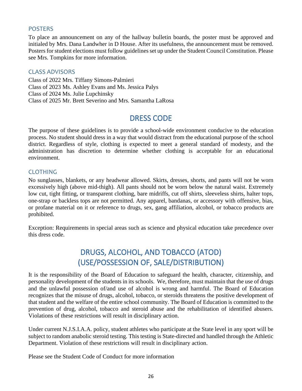#### <span id="page-25-0"></span>POSTERS

To place an announcement on any of the hallway bulletin boards, the poster must be approved and initialed by Mrs. Dana Landwher in D House. After its usefulness, the announcement must be removed. Posters for student elections must follow guidelines set up under the Student Council Constitution. Please see Mrs. Tompkins for more information.

#### <span id="page-25-1"></span>CLASS ADVISORS

Class of 2022 Mrs. Tiffany Simons-Palmieri Class of 2023 Ms. Ashley Evans and Ms. Jessica Palys Class of 2024 Ms. Julie Lupchinsky Class of 2025 Mr. Brett Severino and Mrs. Samantha LaRosa

# DRESS CODE

<span id="page-25-2"></span>The purpose of these guidelines is to provide a school-wide environment conducive to the education process. No student should dress in a way that would distract from the educational purpose of the school district. Regardless of style, clothing is expected to meet a general standard of modesty, and the administration has discretion to determine whether clothing is acceptable for an educational environment.

#### <span id="page-25-3"></span>CLOTHING

No sunglasses, blankets, or any headwear allowed. Skirts, dresses, shorts, and pants will not be worn excessively high (above mid-thigh). All pants should not be worn below the natural waist. Extremely low cut, tight fitting, or transparent clothing, bare midriffs, cut off shirts, sleeveless shirts, halter tops, one-strap or backless tops are not permitted. Any apparel, bandanas, or accessory with offensive, bias, or profane material on it or reference to drugs, sex, gang affiliation, alcohol, or tobacco products are prohibited.

<span id="page-25-4"></span>Exception: Requirements in special areas such as science and physical education take precedence over this dress code.

# DRUGS, ALCOHOL, AND TOBACCO (ATOD) (USE/POSSESSION OF, SALE/DISTRIBUTION)

It is the responsibility of the Board of Education to safeguard the health, character, citizenship, and personality development of the students in its schools. We, therefore, must maintain that the use of drugs and the unlawful possession of/and use of alcohol is wrong and harmful. The Board of Education recognizes that the misuse of drugs, alcohol, tobacco, or steroids threatens the positive development of that student and the welfare of the entire school community. The Board of Education is committed to the prevention of drug, alcohol, tobacco and steroid abuse and the rehabilitation of identified abusers. Violations of these restrictions will result in disciplinary action.

Under current N.J.S.I.A.A. policy, student athletes who participate at the State level in any sport will be subject to random anabolic steroid testing. This testing is State-directed and handled through the Athletic Department. Violation of these restrictions will result in disciplinary action.

Please see the Student Code of Conduct for more information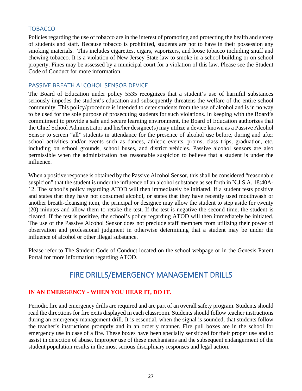#### <span id="page-26-0"></span>**TOBACCO**

Policies regarding the use of tobacco are in the interest of promoting and protecting the health and safety of students and staff. Because tobacco is prohibited, students are not to have in their possession any smoking materials. This includes cigarettes, cigars, vaporizers, and loose tobacco including snuff and chewing tobacco. It is a violation of New Jersey State law to smoke in a school building or on school property. Fines may be assessed by a municipal court for a violation of this law. Please see the Student Code of Conduct for more information.

#### <span id="page-26-1"></span>PASSIVE BREATH ALCOHOL SENSOR DEVICE

The Board of Education under policy 5535 recognizes that a student's use of harmful substances seriously impedes the student's education and subsequently threatens the welfare of the entire school community. This policy/procedure is intended to deter students from the use of alcohol and is in no way to be used for the sole purpose of prosecuting students for such violations. In keeping with the Board's commitment to provide a safe and secure learning environment, the Board of Education authorizes that the Chief School Administrator and his/her designee(s) may utilize a device known as a Passive Alcohol Sensor to screen "all" students in attendance for the presence of alcohol use before, during and after school activities and/or events such as dances, athletic events, proms, class trips, graduation, etc. including on school grounds, school buses, and district vehicles. Passive alcohol sensors are also permissible when the administration has reasonable suspicion to believe that a student is under the influence.

When a positive response is obtained by the Passive Alcohol Sensor, this shall be considered "reasonable suspicion" that the student is under the influence of an alcohol substance as set forth in N.J.S.A. 18:40A-12. The school's policy regarding ATOD will then immediately be initiated. If a student tests positive and states that they have not consumed alcohol, or states that they have recently used mouthwash or another breath-cleansing item, the principal or designee may allow the student to step aside for twenty (20) minutes and allow them to retake the test. If the test is negative the second time, the student is cleared. If the test is positive, the school's policy regarding ATOD will then immediately be initiated. The use of the Passive Alcohol Sensor does not preclude staff members from utilizing their power of observation and professional judgment in otherwise determining that a student may be under the influence of alcohol or other illegal substance.

<span id="page-26-2"></span>Please refer to The Student Code of Conduct located on the school webpage or in the Genesis Parent Portal for more information regarding ATOD.

# FIRE DRILLS/EMERGENCY MANAGEMENT DRILLS

### **IN AN EMERGENCY - WHEN YOU HEAR IT, DO IT.**

Periodic fire and emergency drills are required and are part of an overall safety program. Students should read the directions for fire exits displayed in each classroom. Students should follow teacher instructions during an emergency management drill. It is essential, when the signal is sounded, that students follow the teacher's instructions promptly and in an orderly manner. Fire pull boxes are in the school for emergency use in case of a fire. These boxes have been specially sensitized for their proper use and to assist in detection of abuse. Improper use of these mechanisms and the subsequent endangerment of the student population results in the most serious disciplinary responses and legal action.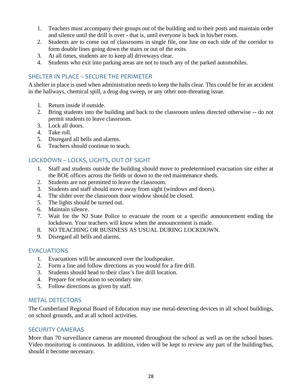- 1. Teachers must accompany their groups out of the building and to their posts and maintain order and silence until the drill is over - that is, until everyone is back in his/her room.
- 2. Students are to come out of classrooms in single file, one line on each side of the corridor to form double lines going down the stairs or out of the exits.
- 3. At all times, students are to keep all driveways clear.
- 4. Students who exit into parking areas are not to touch any of the parked automobiles.

### <span id="page-27-0"></span>SHELTER IN PLACE – SECURE THE PERIMETER

A shelter in place is used when administration needs to keep the halls clear. This could be for an accident in the hallways, chemical spill, a drug dog sweep, or any other non-threating issue.

- 1. Return inside if outside.
- 2. Bring students into the building and back to the classroom unless directed otherwise -- do not permit students to leave classroom.
- 3. Lock all doors.
- 4. Take roll.
- 5. Disregard all bells and alarms.
- 6. Teachers should continue to teach.

### <span id="page-27-1"></span>LOCKDOWN – LOCKS, LIGHTS, OUT OF SIGHT

- 1. Staff and students outside the building should move to predetermined evacuation site either at the BOE offices across the fields or down to the red maintenance sheds.
- 2. Students are not permitted to leave the classroom.
- 3. Students and staff should move away from sight (windows and doors).
- 4. The slider over the classroom door window should be closed.
- 5. The lights should be turned out.
- 6. Maintain silence.
- 7. Wait for the NJ State Police to evacuate the room or a specific announcement ending the lockdown. Your teachers will know when the announcement is made.
- 8. NO TEACHING OR BUSINESS AS USUAL DURING LOCKDOWN.
- 9. Disregard all bells and alarms.

### <span id="page-27-2"></span>**EVACUATIONS**

- 1. Evacuations will be announced over the loudspeaker.
- 2. Form a line and follow directions as you would for a fire drill.
- 3. Students should head to their class's fire drill location.
- 4. Prepare for relocation to secondary site.
- 5. Follow directions as given by staff.

### <span id="page-27-3"></span>METAL DETECTORS

The Cumberland Regional Board of Education may use metal-detecting devices in all school buildings, on school grounds, and at all school activities.

### <span id="page-27-4"></span>SECURITY CAMERAS

More than 70 surveillance cameras are mounted throughout the school as well as on the school buses. Video monitoring is continuous. In addition, video will be kept to review any part of the building/bus, should it become necessary.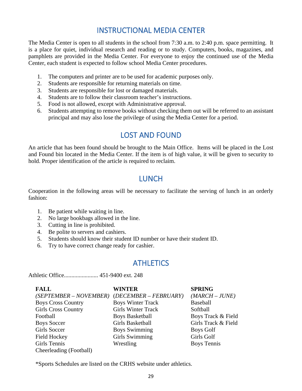# INSTRUCTIONAL MEDIA CENTER

<span id="page-28-0"></span>The Media Center is open to all students in the school from 7:30 a.m. to 2:40 p.m. space permitting. It is a place for quiet, individual research and reading or to study. Computers, books, magazines, and pamphlets are provided in the Media Center. For everyone to enjoy the continued use of the Media Center, each student is expected to follow school Media Center procedures.

- 1. The computers and printer are to be used for academic purposes only.
- 2. Students are responsible for returning materials on time.
- 3. Students are responsible for lost or damaged materials.
- 4. Students are to follow their classroom teacher's instructions.
- 5. Food is not allowed, except with Administrative approval.
- <span id="page-28-1"></span>6. Students attempting to remove books without checking them out will be referred to an assistant principal and may also lose the privilege of using the Media Center for a period.

# LOST AND FOUND

<span id="page-28-2"></span>An article that has been found should be brought to the Main Office. Items will be placed in the Lost and Found bin located in the Media Center. If the item is of high value, it will be given to security to hold. Proper identification of the article is required to reclaim.

# LUNCH

Cooperation in the following areas will be necessary to facilitate the serving of lunch in an orderly fashion:

- 1. Be patient while waiting in line.
- 2. No large bookbags allowed in the line.
- 3. Cutting in line is prohibited.
- 4. Be polite to servers and cashiers.
- 5. Students should know their student ID number or have their student ID.
- <span id="page-28-3"></span>6. Try to have correct change ready for cashier.

# **ATHLETICS**

Athletic Office....................... 451-9400 ext. 248

| <b>FALL</b>                | <b>WINTER</b>             | <b>SPRING</b>       |
|----------------------------|---------------------------|---------------------|
| $(SEPTEMBER - NOVEMBER)$   | $(DECEMBER - FEBRUARY)$   | $(MARCH-JUNE)$      |
| <b>Boys Cross Country</b>  | <b>Boys Winter Track</b>  | Baseball            |
| <b>Girls Cross Country</b> | <b>Girls Winter Track</b> | Softball            |
| Football                   | <b>Boys Basketball</b>    | Boys Track & Field  |
| <b>Boys Soccer</b>         | Girls Basketball          | Girls Track & Field |
| <b>Girls Soccer</b>        | <b>Boys Swimming</b>      | Boys Golf           |
| <b>Field Hockey</b>        | Girls Swimming            | Girls Golf          |
| Girls Tennis               | Wrestling                 | <b>Boys Tennis</b>  |
| Cheerleading (Football)    |                           |                     |

\*Sports Schedules are listed on the CRHS website under athletics.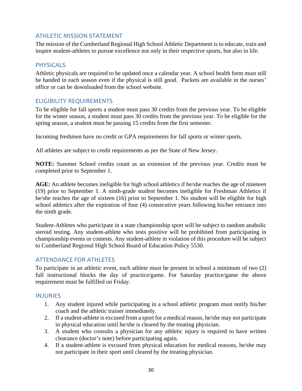#### <span id="page-29-0"></span>ATHLETIC MISSION STATEMENT

The mission of the Cumberland Regional High School Athletic Department is to educate, train and inspire student-athletes to pursue excellence not only in their respective sports, but also in life.

#### <span id="page-29-1"></span>PHYSICALS

Athletic physicals are required to be updated once a calendar year. A school health form must still be handed in each season even if the physical is still good. Packets are available in the nurses' office or can be downloaded from the school website.

#### <span id="page-29-2"></span>ELIGIBILITY REQUIREMENTS

To be eligible for fall sports a student must pass 30 credits from the previous year. To be eligible for the winter season, a student must pass 30 credits from the previous year. To be eligible for the spring season, a student must be passing 15 credits from the first semester.

Incoming freshmen have no credit or GPA requirements for fall sports or winter sports.

All athletes are subject to credit requirements as per the State of New Jersey.

**NOTE:** Summer School credits count as an extension of the previous year. Credits must be completed prior to September 1.

**AGE:** An athlete becomes ineligible for high school athletics if he/she reaches the age of nineteen (19) prior to September 1. A ninth-grade student becomes ineligible for Freshman Athletics if he/she reaches the age of sixteen (16) prior to September 1. No student will be eligible for high school athletics after the expiration of four (4) consecutive years following his/her entrance into the ninth grade.

Student-Athletes who participate in a state championship sport will be subject to random anabolic steroid testing. Any student-athlete who tests positive will be prohibited from participating in championship events or contests. Any student-athlete in violation of this procedure will be subject to Cumberland Regional High School Board of Education Policy 5530.

#### <span id="page-29-3"></span>ATTENDANCE FOR ATHLETES

To participate in an athletic event, each athlete must be present in school a minimum of two (2) full instructional blocks the day of practice/game. For Saturday practice/game the above requirement must be fulfilled on Friday.

#### <span id="page-29-4"></span>INJURIES

- 1. Any student injured while participating in a school athletic program must notify his/her coach and the athletic trainer immediately.
- 2. If a student-athlete is excused from a sport for a medical reason, he/she may not participate in physical education until he/she is cleared by the treating physician.
- 3. A student who consults a physician for any athletic injury is required to have written clearance (doctor's note) before participating again.
- 4. If a student-athlete is excused from physical education for medical reasons, he/she may not participate in their sport until cleared by the treating physician.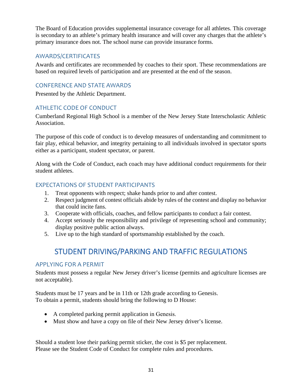The Board of Education provides supplemental insurance coverage for all athletes. This coverage is secondary to an athlete's primary health insurance and will cover any charges that the athlete's primary insurance does not. The school nurse can provide insurance forms.

### <span id="page-30-0"></span>AWARDS/CERTIFICATES

Awards and certificates are recommended by coaches to their sport. These recommendations are based on required levels of participation and are presented at the end of the season.

### <span id="page-30-1"></span>CONFERENCE AND STATE AWARDS

Presented by the Athletic Department.

### <span id="page-30-2"></span>ATHLETIC CODE OF CONDUCT

Cumberland Regional High School is a member of the New Jersey State Interscholastic Athletic Association.

The purpose of this code of conduct is to develop measures of understanding and commitment to fair play, ethical behavior, and integrity pertaining to all individuals involved in spectator sports either as a participant, student spectator, or parent.

Along with the Code of Conduct, each coach may have additional conduct requirements for their student athletes.

### <span id="page-30-3"></span>EXPECTATIONS OF STUDENT PARTICIPANTS

- 1. Treat opponents with respect; shake hands prior to and after contest.
- 2. Respect judgment of contest officials abide by rules of the contest and display no behavior that could incite fans.
- 3. Cooperate with officials, coaches, and fellow participants to conduct a fair contest.
- 4. Accept seriously the responsibility and privilege of representing school and community; display positive public action always.
- <span id="page-30-4"></span>5. Live up to the high standard of sportsmanship established by the coach.

# STUDENT DRIVING/PARKING AND TRAFFIC REGULATIONS

### <span id="page-30-5"></span>APPLYING FOR A PERMIT

Students must possess a regular New Jersey driver's license (permits and agriculture licenses are not acceptable).

Students must be 17 years and be in 11th or 12th grade according to Genesis. To obtain a permit, students should bring the following to D House:

- A completed parking permit application in Genesis.
- Must show and have a copy on file of their New Jersey driver's license.

Should a student lose their parking permit sticker, the cost is \$5 per replacement. Please see the Student Code of Conduct for complete rules and procedures.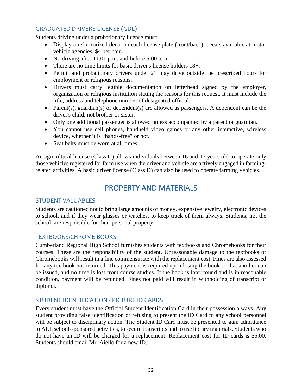### <span id="page-31-0"></span>GRADUATED DRIVERS LICENSE (GDL)

Students driving under a probationary license must:

- Display a reflectorized decal on each license plate (front/back); decals available at motor vehicle agencies, \$4 per pair.
- No driving after 11:01 p.m. and before 5:00 a.m.
- There are no time limits for basic driver's license holders  $18+$ .
- Permit and probationary drivers under 21 may drive outside the prescribed hours for employment or religious reasons.
- Drivers must carry legible documentation on letterhead signed by the employer, organization or religious institution stating the reasons for this request. It must include the title, address and telephone number of designated official.
- Parent(s), guardian(s) or dependent(s) are allowed as passengers. A dependent can be the driver's child, not brother or sister.
- Only one additional passenger is allowed unless accompanied by a parent or guardian.
- You cannot use cell phones, handheld video games or any other interactive, wireless device, whether it is "hands-free" or not.
- Seat belts must be worn at all times.

<span id="page-31-1"></span>An agricultural license (Class G) allows individuals between 16 and 17 years old to operate only those vehicles registered for farm use when the driver and vehicle are actively engaged in farmingrelated activities. A basic driver license (Class D) can also be used to operate farming vehicles.

# PROPERTY AND MATERIALS

#### <span id="page-31-2"></span>STUDENT VALUABLES

Students are cautioned not to bring large amounts of money, expensive jewelry, electronic devices to school, and if they wear glasses or watches, to keep track of them always. Students, not the school, are responsible for their personal property.

#### <span id="page-31-3"></span>TEXTBOOKS/CHROME BOOKS

Cumberland Regional High School furnishes students with textbooks and Chromebooks for their courses. These are the responsibility of the student. Unreasonable damage to the textbooks or Chromebooks will result in a fine commensurate with the replacement cost. Fines are also assessed for any textbook not returned. This payment is required upon losing the book so that another can be issued, and no time is lost from course studies. If the book is later found and is in reasonable condition, payment will be refunded. Fines not paid will result in withholding of transcript or diploma.

#### <span id="page-31-4"></span>STUDENT IDENTIFICATION - PICTURE ID CARDS

Every student must have the Official Student Identification Card in their possession always. Any student providing false identification or refusing to present the ID Card to any school personnel will be subject to disciplinary action. The Student ID Card must be presented to gain admittance to ALL school-sponsored activities, to secure transcripts and to use library materials. Students who do not have an ID will be charged for a replacement. Replacement cost for ID cards is \$5.00. Students should email Mr. Aiello for a new ID.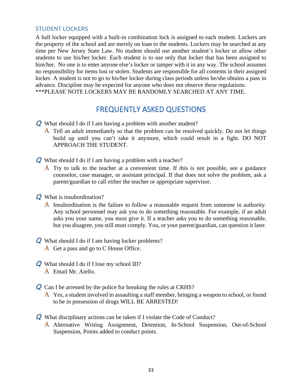#### <span id="page-32-0"></span>STUDENT LOCKERS

A hall locker equipped with a built-in combination lock is assigned to each student. Lockers are the property of the school and are merely on loan to the students. Lockers may be searched at any time per New Jersey State Law. No student should use another student's locker or allow other students to use his/her locker. Each student is to use only that locker that has been assigned to him/her. No one is to enter anyone else's locker or tamper with it in any way. The school assumes no responsibility for items lost or stolen. Students are responsible for all contents in their assigned locker. A student is not to go to his/her locker during class periods unless he/she obtains a pass in advance. Discipline may be expected for anyone who does not observe these regulations. \*\*\*PLEASE NOTE LOCKERS MAY BE RANDOMLY SEARCHED AT ANY TIME.

# FREQUENTLY ASKED QUESTIONS

- <span id="page-32-1"></span>Q What should I do if I am having a problem with another student?
	- A Tell an adult immediately so that the problem can be resolved quickly. Do not let things build up until you can't take it anymore, which could result in a fight. DO NOT APPROACH THE STUDENT.
- Q What should I do if I am having a problem with a teacher?
	- $\overline{A}$  Try to talk to the teacher at a convenient time. If this is not possible, see a guidance counselor, case manager, or assistant principal. If that does not solve the problem, ask a parent/guardian to call either the teacher or appropriate supervisor.
- Q What is insubordination?
	- A Insubordination is the failure to follow a reasonable request from someone in authority. Any school personnel may ask you to do something reasonable. For example, if an adult asks you your name, you must give it. If a teacher asks you to do something reasonable, but you disagree, you still must comply. You, or your parent/guardian, can question it later.
- **Q** What should I do if I am having locker problems?
	- A Get a pass and go to C House Office.
- Q What should I do if I lose my school ID?
	- A Email Mr. Aiello.
- Q Can I be arrested by the police for breaking the rules at CRHS?
	- A Yes, a student involved in assaulting a staff member, bringing a weapon to school, or found to be in possession of drugs WILL BE ARRESTED!
- Q What disciplinary actions can be taken if I violate the Code of Conduct?
	- A Alternative Writing Assignment, Detention, In-School Suspension, Out-of-School Suspension, Points added to conduct points.